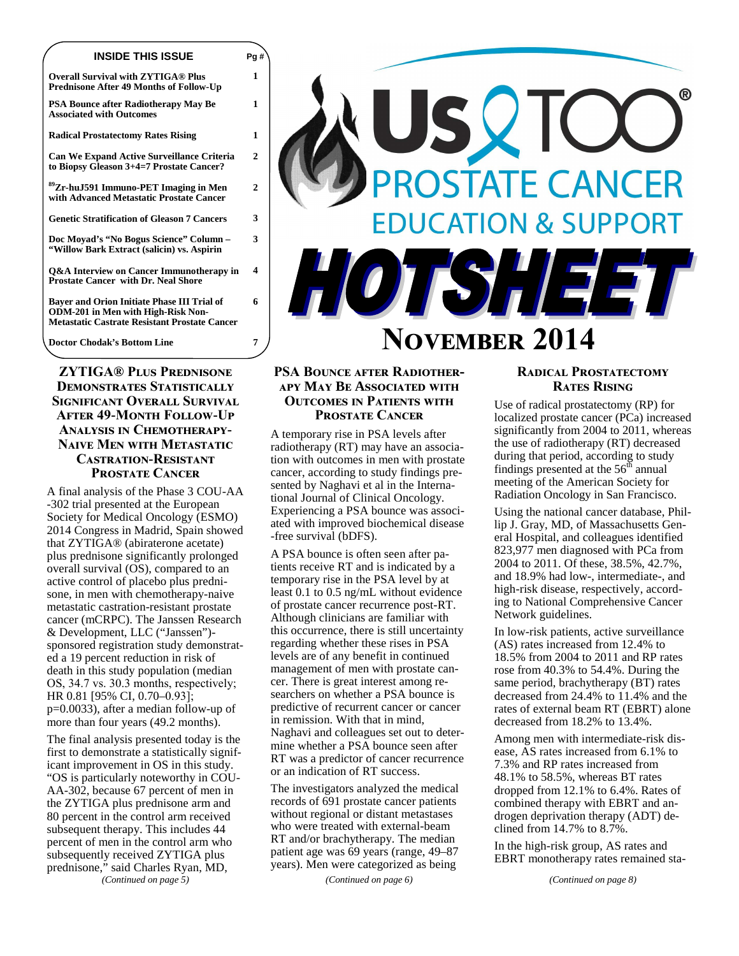#### **INSIDE THIS ISSUE Pg #**

**1** 

**1** 

**2** 

**2** 

**3** 

**4** 

**6** 

**Overall Survival with ZYTIGA® Plus Prednisone After 49 Months of Follow-Up** 

**PSA Bounce after Radiotherapy May Be Associated with Outcomes**

**Radical Prostatectomy Rates Rising 1** 

**Can We Expand Active Surveillance Criteria to Biopsy Gleason 3+4=7 Prostate Cancer?** 

**<sup>89</sup>Zr-huJ591 Immuno-PET Imaging in Men with Advanced Metastatic Prostate Cancer** 

**Genetic Stratification of Gleason 7 Cancers 3** 

**Doc Moyad's "No Bogus Science" Column – "Willow Bark Extract (salicin) vs. Aspirin** 

**Q&A Interview on Cancer Immunotherapy in Prostate Cancer with Dr. Neal Shore**

**Bayer and Orion Initiate Phase III Trial of ODM-201 in Men with High-Risk Non-Metastatic Castrate Resistant Prostate Cancer** 

**Doctor Chodak's Bottom Line 7** 

# **ZYTIGA® Plus Prednisone DEMONSTRATES STATISTICALLY SIGNIFICANT OVERALL SURVIVAL AFTER 49-MONTH FOLLOW-UP ANALYSIS IN CHEMOTHERAPY-NAIVE MEN WITH METASTATIC** CASTRATION-RESISTANT **PROSTATE CANCER**

A final analysis of the Phase 3 COU-AA -302 trial presented at the European Society for Medical Oncology (ESMO) 2014 Congress in Madrid, Spain showed that ZYTIGA® (abiraterone acetate) plus prednisone significantly prolonged overall survival (OS), compared to an active control of placebo plus prednisone, in men with chemotherapy-naive metastatic castration-resistant prostate cancer (mCRPC). The Janssen Research & Development, LLC ("Janssen") sponsored registration study demonstrated a 19 percent reduction in risk of death in this study population (median OS, 34.7 vs. 30.3 months, respectively; HR 0.81 [95% CI, 0.70–0.93]; p=0.0033), after a median follow-up of more than four years (49.2 months).

The final analysis presented today is the first to demonstrate a statistically significant improvement in OS in this study. "OS is particularly noteworthy in COU-AA-302, because 67 percent of men in the ZYTIGA plus prednisone arm and 80 percent in the control arm received subsequent therapy. This includes 44 percent of men in the control arm who subsequently received ZYTIGA plus prednisone," said Charles Ryan, MD,

*(Continued on page 5)* 

# USQT PROSTATE CANCER **EDUCATION & SUPPORT** TSH F

# **NOVEMBER 2014**

# **PSA BOUNCE AFTER RADIOTHER-** $\bf A$ **PY**  $\bf M$ **AY**  $\bf B$ **e Associated with OUTCOMES IN PATIENTS WITH PROSTATE CANCER**

A temporary rise in PSA levels after radiotherapy (RT) may have an association with outcomes in men with prostate cancer, according to study findings presented by Naghavi et al in the International Journal of Clinical Oncology. Experiencing a PSA bounce was associated with improved biochemical disease -free survival (bDFS).

A PSA bounce is often seen after patients receive RT and is indicated by a temporary rise in the PSA level by at least 0.1 to 0.5 ng/mL without evidence of prostate cancer recurrence post-RT. Although clinicians are familiar with this occurrence, there is still uncertainty regarding whether these rises in PSA levels are of any benefit in continued management of men with prostate cancer. There is great interest among researchers on whether a PSA bounce is predictive of recurrent cancer or cancer in remission. With that in mind, Naghavi and colleagues set out to determine whether a PSA bounce seen after RT was a predictor of cancer recurrence or an indication of RT success.

The investigators analyzed the medical records of 691 prostate cancer patients without regional or distant metastases who were treated with external-beam RT and/or brachytherapy. The median patient age was 69 years (range, 49–87 years). Men were categorized as being

*(Continued on page 6)* 

# **RADICAL PROSTATECTOMY RATES RISING**

Use of radical prostatectomy (RP) for localized prostate cancer (PCa) increased significantly from 2004 to 2011, whereas the use of radiotherapy (RT) decreased during that period, according to study findings presented at the  $56<sup>th</sup>$  annual meeting of the American Society for Radiation Oncology in San Francisco.

Using the national cancer database, Phillip J. Gray, MD, of Massachusetts General Hospital, and colleagues identified 823,977 men diagnosed with PCa from 2004 to 2011. Of these, 38.5%, 42.7%, and 18.9% had low-, intermediate-, and high-risk disease, respectively, according to National Comprehensive Cancer Network guidelines.

In low-risk patients, active surveillance (AS) rates increased from 12.4% to 18.5% from 2004 to 2011 and RP rates rose from 40.3% to 54.4%. During the same period, brachytherapy (BT) rates decreased from 24.4% to 11.4% and the rates of external beam RT (EBRT) alone decreased from 18.2% to 13.4%.

Among men with intermediate-risk disease, AS rates increased from 6.1% to 7.3% and RP rates increased from 48.1% to 58.5%, whereas BT rates dropped from 12.1% to 6.4%. Rates of combined therapy with EBRT and androgen deprivation therapy (ADT) declined from 14.7% to 8.7%.

In the high-risk group, AS rates and EBRT monotherapy rates remained sta-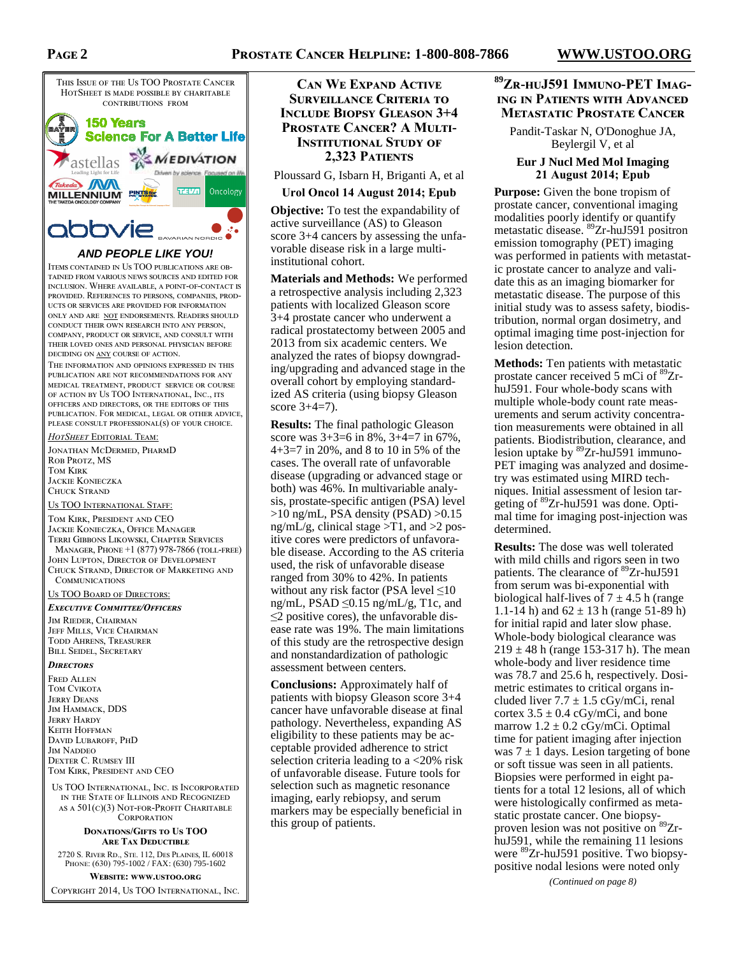# **PAGE 2**



# **AND PEOPLE LIKE YOU!**

ITEMS CONTAINED IN US TOO PUBLICATIONS ARE OB-TAINED FROM VARIOUS NEWS SOURCES AND EDITED FOR INCLUSION. WHERE AVAILABLE, A POINT-OF-CONTACT IS PROVIDED. REFERENCES TO PERSONS. COMPANIES. PROD-UCTS OR SERVICES ARE PROVIDED FOR INFORMATION ONLY AND ARE NOT ENDORSEMENTS. READERS SHOULD CONDUCT THEIR OWN RESEARCH INTO ANY PERSON. COMPANY, PRODUCT OR SERVICE, AND CONSULT WITH THEIR LOVED ONES AND PERSONAL PHYSICIAN BEFORE DECIDING ON  $\underline{\text{ANY}}$  COURSE OF ACTION.

THE INFORMATION AND OPINIONS EXPRESSED IN THIS PUBLICATION ARE NOT RECOMMENDATIONS FOR ANY MEDICAL TREATMENT, PRODUCT SERVICE OR COURSE OF ACTION BY US TOO INTERNATIONAL, INC., ITS OFFICERS AND DIRECTORS, OR THE EDITORS OF THIS PUBLICATION. FOR MEDICAL, LEGAL OR OTHER ADVICE, PLEASE CONSULT PROFESSIONAL(S) OF YOUR CHOICE.

#### *HotSheet* Editorial Team:

JONATHAN MCDERMED. PHARMD ROB PROTZ, MS TOM KIRK JACKIE KONIECZKA CHUCK STRAND

US TOO INTERNATIONAL STAFF.

TOM KIRK, PRESIDENT AND CEO JACKIE KONIECZKA, OFFICE MANAGER TERRI GIBBONS LIKOWSKI, CHAPTER SERVICES MANAGER, PHONE +1 (877) 978-7866 (TOLL-FREE) JOHN LUPTON, DIRECTOR OF DEVELOPMENT CHUCK STRAND, DIRECTOR OF MARKETING AND COMMUNICATIONS

US TOO BOARD OF DIRECTORS:

#### Executive Committee/Officers

JIM RIEDER, CHAIRMAN JEFF MILLS, VICE CHAIRMAN TODD AHRENS, TREASURER BILL SEIDEL, SECRETARY

#### **DIRECTORS**

FRED ALLEN TOM CVIKOTA JERRY DEANS JIM HAMMACK, DDS JERRY HARDY KEITH HOFFMAN DAVID LUBAROFF, PHD IM NADDEO DEXTER C. RUMSEY III TOM KIRK, PRESIDENT AND CEO

US TOO INTERNATIONAL, INC. IS INCORPORATED IN THE STATE OF ILLINOIS AND RECOGNIZED AS A  $501(c)(3)$  NOT-FOR-PROFIT CHARITABLE CORPORATION

#### **DONATIONS/GIFTS TO US TOO ARE TAX DEDUCTIBLE**

2720 S. RIVER RD., STE. 112, DES PLAINES, IL 60018 PHONE: (630) 795-1002 / FAX: (630) 795-1602

WEBSITE: WWW.USTOO.ORG COPYRIGHT 2014, US TOO INTERNATIONAL, INC.

**CAN WE EXPAND ACTIVE SURVEILLANCE CRITERIA TO INCLUDE BIOPSY GLEASON 3+4** PROSTATE CANCER? A MULTI-**INSTITUTIONAL STUDY OF 2,323 P**

Ploussard G, Isbarn H, Briganti A, et al

### **Urol Oncol 14 August 2014; Epub**

**Objective:** To test the expandability of active surveillance (AS) to Gleason score 3+4 cancers by assessing the unfavorable disease risk in a large multiinstitutional cohort.

**Materials and Methods:** We performed a retrospective analysis including 2,323 patients with localized Gleason score 3+4 prostate cancer who underwent a radical prostatectomy between 2005 and 2013 from six academic centers. We analyzed the rates of biopsy downgrading/upgrading and advanced stage in the overall cohort by employing standardized AS criteria (using biopsy Gleason score 3+4=7).

**Results:** The final pathologic Gleason score was  $3+3=6$  in  $8\%$ ,  $3+4=7$  in 67%. 4+3=7 in 20%, and 8 to 10 in 5% of the cases. The overall rate of unfavorable disease (upgrading or advanced stage or both) was 46%. In multivariable analysis, prostate-specific antigen (PSA) level >10 ng/mL, PSA density (PSAD) >0.15  $ng/mL/g$ , clinical stage  $>T1$ , and  $>2$  positive cores were predictors of unfavorable disease. According to the AS criteria used, the risk of unfavorable disease ranged from 30% to 42%. In patients without any risk factor (PSA level  $\leq 10$ ng/mL, PSAD ≤0.15 ng/mL/g, T1c, and ≤2 positive cores), the unfavorable disease rate was 19%. The main limitations of this study are the retrospective design and nonstandardization of pathologic assessment between centers.

**Conclusions:** Approximately half of patients with biopsy Gleason score 3+4 cancer have unfavorable disease at final pathology. Nevertheless, expanding AS eligibility to these patients may be acceptable provided adherence to strict selection criteria leading to a <20% risk of unfavorable disease. Future tools for selection such as magnetic resonance imaging, early rebiopsy, and serum markers may be especially beneficial in this group of patients.

# 89**Z**r-huJ591 Immuno-PET Imag-**ING IN PATIENTS WITH ADVANCED** METASTATIC PROSTATE CANCER

Pandit-Taskar N, O'Donoghue JA, Beylergil V, et al

#### **Eur J Nucl Med Mol Imaging 21 August 2014; Epub**

**Purpose:** Given the bone tropism of prostate cancer, conventional imaging modalities poorly identify or quantify metastatic disease. <sup>89</sup>Zr-huJ591 positron emission tomography (PET) imaging was performed in patients with metastatic prostate cancer to analyze and validate this as an imaging biomarker for metastatic disease. The purpose of this initial study was to assess safety, biodistribution, normal organ dosimetry, and optimal imaging time post-injection for lesion detection.

**Methods:** Ten patients with metastatic prostate cancer received 5 mCi of <sup>89</sup>ZrhuJ591. Four whole-body scans with multiple whole-body count rate measurements and serum activity concentration measurements were obtained in all patients. Biodistribution, clearance, and lesion uptake by <sup>89</sup>Zr-huJ591 immuno-PET imaging was analyzed and dosimetry was estimated using MIRD techniques. Initial assessment of lesion targeting of <sup>89</sup>Zr-huJ591 was done. Optimal time for imaging post-injection was determined.

**Results:** The dose was well tolerated with mild chills and rigors seen in two patients. The clearance of <sup>89</sup>Zr-huJ591 from serum was bi-exponential with biological half-lives of  $7 \pm 4.5$  h (range 1.1-14 h) and  $62 \pm 13$  h (range 51-89 h) for initial rapid and later slow phase. Whole-body biological clearance was  $219 \pm 48$  h (range 153-317 h). The mean whole-body and liver residence time was 78.7 and 25.6 h, respectively. Dosimetric estimates to critical organs included liver  $7.7 \pm 1.5$  cGy/mCi, renal cortex  $3.5 \pm 0.4$  cGy/mCi, and bone marrow  $1.2 \pm 0.2$  cGy/mCi. Optimal time for patient imaging after injection was  $7 \pm 1$  days. Lesion targeting of bone or soft tissue was seen in all patients. Biopsies were performed in eight patients for a total 12 lesions, all of which were histologically confirmed as metastatic prostate cancer. One biopsyproven lesion was not positive on <sup>89</sup>ZrhuJ591, while the remaining 11 lesions were <sup>89</sup>Zr-huJ591 positive. Two biopsypositive nodal lesions were noted only

*(Continued on page 8)*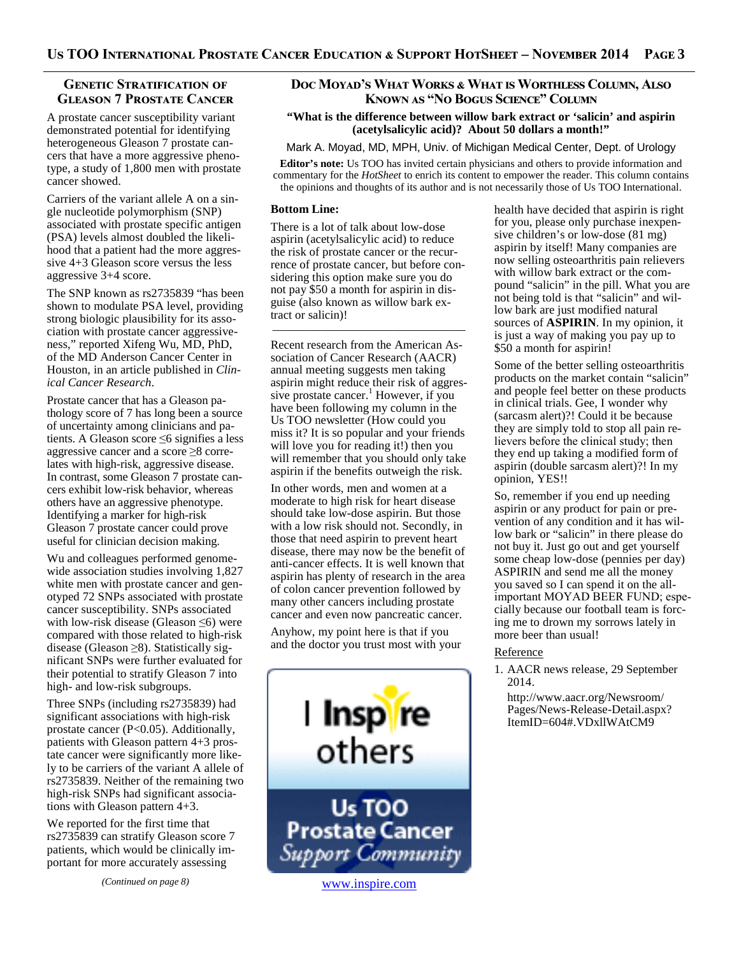# **GENETIC STRATIFICATION OF GLEASON 7 PROSTATE CANCER**

A prostate cancer susceptibility variant demonstrated potential for identifying heterogeneous Gleason 7 prostate cancers that have a more aggressive phenotype, a study of 1,800 men with prostate cancer showed.

Carriers of the variant allele A on a single nucleotide polymorphism (SNP) associated with prostate specific antigen (PSA) levels almost doubled the likelihood that a patient had the more aggressive 4+3 Gleason score versus the less aggressive 3+4 score.

The SNP known as rs2735839 "has been shown to modulate PSA level, providing strong biologic plausibility for its association with prostate cancer aggressiveness," reported Xifeng Wu, MD, PhD, of the MD Anderson Cancer Center in Houston, in an article published in *Clinical Cancer Research*.

Prostate cancer that has a Gleason pathology score of 7 has long been a source of uncertainty among clinicians and patients. A Gleason score ≤6 signifies a less aggressive cancer and a score  $\geq 8$  correlates with high-risk, aggressive disease. In contrast, some Gleason 7 prostate cancers exhibit low-risk behavior, whereas others have an aggressive phenotype. Identifying a marker for high-risk Gleason 7 prostate cancer could prove useful for clinician decision making.

Wu and colleagues performed genomewide association studies involving 1,827 white men with prostate cancer and genotyped 72 SNPs associated with prostate cancer susceptibility. SNPs associated with low-risk disease (Gleason ≤6) were compared with those related to high-risk disease (Gleason  $\geq 8$ ). Statistically significant SNPs were further evaluated for their potential to stratify Gleason 7 into high- and low-risk subgroups.

Three SNPs (including rs2735839) had significant associations with high-risk prostate cancer (P<0.05). Additionally, patients with Gleason pattern 4+3 prostate cancer were significantly more likely to be carriers of the variant A allele of rs2735839. Neither of the remaining two high-risk SNPs had significant associations with Gleason pattern 4+3.

We reported for the first time that rs2735839 can stratify Gleason score 7 patients, which would be clinically important for more accurately assessing

# Doc Moyad's What Works & What is Worthless Column, Also **KNOWN AS "NO BOGUS SCIENCE" COLUMN**

#### **"What is the difference between willow bark extract or 'salicin' and aspirin (acetylsalicylic acid)? About 50 dollars a month!"**

#### Mark A. Moyad, MD, MPH, Univ. of Michigan Medical Center, Dept. of Urology

**Editor's note:** Us TOO has invited certain physicians and others to provide information and commentary for the *HotSheet* to enrich its content to empower the reader. This column contains the opinions and thoughts of its author and is not necessarily those of Us TOO International.

#### **Bottom Line:**

There is a lot of talk about low-dose aspirin (acetylsalicylic acid) to reduce the risk of prostate cancer or the recurrence of prostate cancer, but before considering this option make sure you do not pay \$50 a month for aspirin in disguise (also known as willow bark extract or salicin)!

————————————————

Recent research from the American Association of Cancer Research (AACR) annual meeting suggests men taking aspirin might reduce their risk of aggressive prostate cancer.<sup>1</sup> However, if you have been following my column in the Us TOO newsletter (How could you miss it? It is so popular and your friends will love you for reading it!) then you will remember that you should only take aspirin if the benefits outweigh the risk.

In other words, men and women at a moderate to high risk for heart disease should take low-dose aspirin. But those with a low risk should not. Secondly, in those that need aspirin to prevent heart disease, there may now be the benefit of anti-cancer effects. It is well known that aspirin has plenty of research in the area of colon cancer prevention followed by many other cancers including prostate cancer and even now pancreatic cancer.

Anyhow, my point here is that if you and the doctor you trust most with your



health have decided that aspirin is right for you, please only purchase inexpensive children's or low-dose (81 mg) aspirin by itself! Many companies are now selling osteoarthritis pain relievers with willow bark extract or the compound "salicin" in the pill. What you are not being told is that "salicin" and willow bark are just modified natural sources of **ASPIRIN**. In my opinion, it is just a way of making you pay up to \$50 a month for aspirin!

Some of the better selling osteoarthritis products on the market contain "salicin" and people feel better on these products in clinical trials. Gee, I wonder why (sarcasm alert)?! Could it be because they are simply told to stop all pain relievers before the clinical study; then they end up taking a modified form of aspirin (double sarcasm alert)?! In my opinion, YES!!

So, remember if you end up needing aspirin or any product for pain or prevention of any condition and it has willow bark or "salicin" in there please do not buy it. Just go out and get yourself some cheap low-dose (pennies per day) ASPIRIN and send me all the money you saved so I can spend it on the allimportant MOYAD BEER FUND; especially because our football team is forcing me to drown my sorrows lately in more beer than usual!

#### Reference

1. AACR news release, 29 September 2014.

http://www.aacr.org/Newsroom/ Pages/News-Release-Detail.aspx? ItemID=604#.VDxllWAtCM9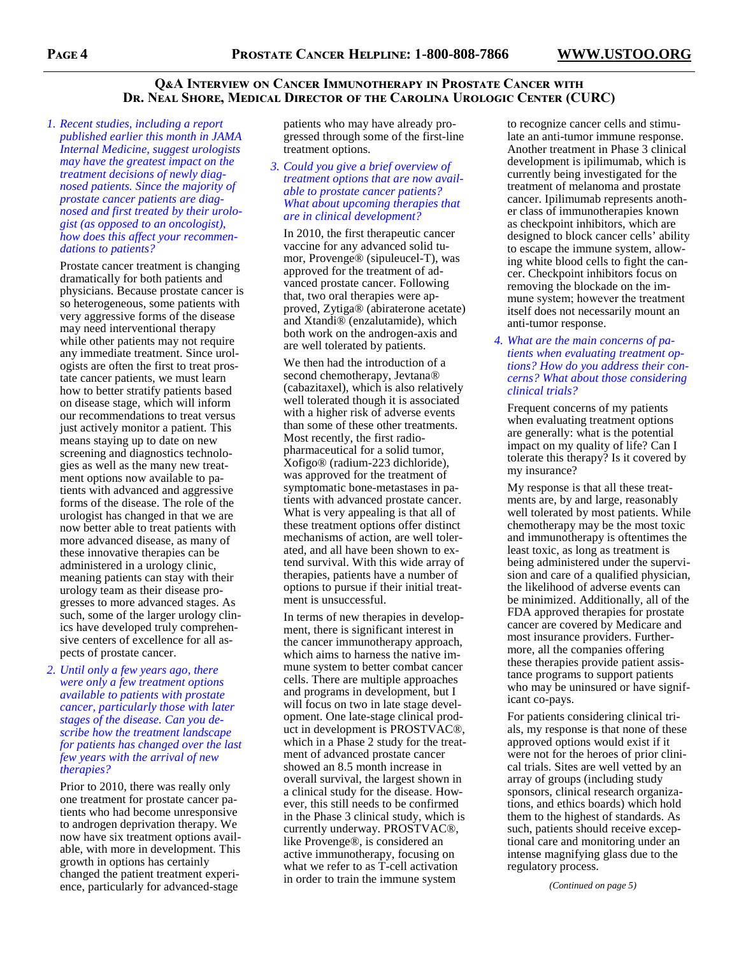# **Q&A I**NTERVIEW ON CANCER IMMUNOTHERAPY IN PROSTATE CANCER WITH Dr. Neal Shore, Medical Director of the Carolina Urologic Center (CURC)

*1. Recent studies, including a report published earlier this month in JAMA Internal Medicine, suggest urologists may have the greatest impact on the treatment decisions of newly diagnosed patients. Since the majority of prostate cancer patients are diagnosed and first treated by their urologist (as opposed to an oncologist), how does this affect your recommendations to patients?* 

Prostate cancer treatment is changing dramatically for both patients and physicians. Because prostate cancer is so heterogeneous, some patients with very aggressive forms of the disease may need interventional therapy while other patients may not require any immediate treatment. Since urologists are often the first to treat prostate cancer patients, we must learn how to better stratify patients based on disease stage, which will inform our recommendations to treat versus just actively monitor a patient. This means staying up to date on new screening and diagnostics technologies as well as the many new treatment options now available to patients with advanced and aggressive forms of the disease. The role of the urologist has changed in that we are now better able to treat patients with more advanced disease, as many of these innovative therapies can be administered in a urology clinic, meaning patients can stay with their urology team as their disease progresses to more advanced stages. As such, some of the larger urology clinics have developed truly comprehensive centers of excellence for all aspects of prostate cancer.

*2. Until only a few years ago, there were only a few treatment options available to patients with prostate cancer, particularly those with later stages of the disease. Can you describe how the treatment landscape for patients has changed over the last few years with the arrival of new therapies?* 

Prior to 2010, there was really only one treatment for prostate cancer patients who had become unresponsive to androgen deprivation therapy. We now have six treatment options available, with more in development. This growth in options has certainly changed the patient treatment experience, particularly for advanced-stage

patients who may have already progressed through some of the first-line treatment options.

*3. Could you give a brief overview of treatment options that are now available to prostate cancer patients? What about upcoming therapies that are in clinical development?* 

In 2010, the first therapeutic cancer vaccine for any advanced solid tumor, Provenge® (sipuleucel-T), was approved for the treatment of advanced prostate cancer. Following that, two oral therapies were approved, Zytiga® (abiraterone acetate) and Xtandi® (enzalutamide), which both work on the androgen-axis and are well tolerated by patients.

We then had the introduction of a second chemotherapy, Jevtana® (cabazitaxel), which is also relatively well tolerated though it is associated with a higher risk of adverse events than some of these other treatments. Most recently, the first radiopharmaceutical for a solid tumor, Xofigo® (radium-223 dichloride), was approved for the treatment of symptomatic bone-metastases in patients with advanced prostate cancer. What is very appealing is that all of these treatment options offer distinct mechanisms of action, are well tolerated, and all have been shown to extend survival. With this wide array of therapies, patients have a number of options to pursue if their initial treatment is unsuccessful.

In terms of new therapies in development, there is significant interest in the cancer immunotherapy approach, which aims to harness the native immune system to better combat cancer cells. There are multiple approaches and programs in development, but I will focus on two in late stage development. One late-stage clinical product in development is PROSTVAC®, which in a Phase 2 study for the treatment of advanced prostate cancer showed an 8.5 month increase in overall survival, the largest shown in a clinical study for the disease. However, this still needs to be confirmed in the Phase 3 clinical study, which is currently underway. PROSTVAC®, like Provenge®, is considered an active immunotherapy, focusing on what we refer to as T-cell activation in order to train the immune system

to recognize cancer cells and stimulate an anti-tumor immune response. Another treatment in Phase 3 clinical development is ipilimumab, which is currently being investigated for the treatment of melanoma and prostate cancer. Ipilimumab represents another class of immunotherapies known as checkpoint inhibitors, which are designed to block cancer cells' ability to escape the immune system, allowing white blood cells to fight the cancer. Checkpoint inhibitors focus on removing the blockade on the immune system; however the treatment itself does not necessarily mount an anti-tumor response.

*4. What are the main concerns of patients when evaluating treatment options? How do you address their concerns? What about those considering clinical trials?* 

Frequent concerns of my patients when evaluating treatment options are generally: what is the potential impact on my quality of life? Can I tolerate this therapy? Is it covered by my insurance?

My response is that all these treatments are, by and large, reasonably well tolerated by most patients. While chemotherapy may be the most toxic and immunotherapy is oftentimes the least toxic, as long as treatment is being administered under the supervision and care of a qualified physician, the likelihood of adverse events can be minimized. Additionally, all of the FDA approved therapies for prostate cancer are covered by Medicare and most insurance providers. Furthermore, all the companies offering these therapies provide patient assistance programs to support patients who may be uninsured or have significant co-pays.

For patients considering clinical trials, my response is that none of these approved options would exist if it were not for the heroes of prior clinical trials. Sites are well vetted by an array of groups (including study sponsors, clinical research organizations, and ethics boards) which hold them to the highest of standards. As such, patients should receive exceptional care and monitoring under an intense magnifying glass due to the regulatory process.

*(Continued on page 5)*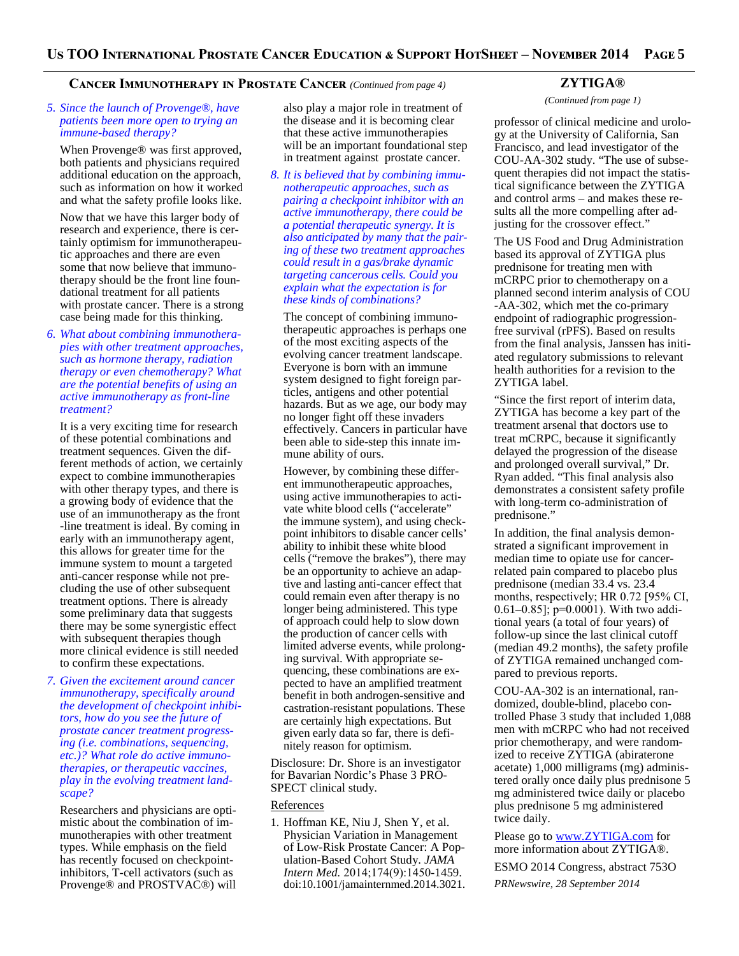# **CANCER IMMUNOTHERAPY IN PROSTATE CANCER** (Continued from page 4)

#### *5. Since the launch of Provenge®, have patients been more open to trying an immune-based therapy?*

When Provenge® was first approved, both patients and physicians required additional education on the approach, such as information on how it worked and what the safety profile looks like.

Now that we have this larger body of research and experience, there is certainly optimism for immunotherapeutic approaches and there are even some that now believe that immunotherapy should be the front line foundational treatment for all patients with prostate cancer. There is a strong case being made for this thinking.

*6. What about combining immunotherapies with other treatment approaches, such as hormone therapy, radiation therapy or even chemotherapy? What are the potential benefits of using an active immunotherapy as front-line treatment?* 

It is a very exciting time for research of these potential combinations and treatment sequences. Given the different methods of action, we certainly expect to combine immunotherapies with other therapy types, and there is a growing body of evidence that the use of an immunotherapy as the front -line treatment is ideal. By coming in early with an immunotherapy agent, this allows for greater time for the immune system to mount a targeted anti-cancer response while not precluding the use of other subsequent treatment options. There is already some preliminary data that suggests there may be some synergistic effect with subsequent therapies though more clinical evidence is still needed to confirm these expectations.

*7. Given the excitement around cancer immunotherapy, specifically around the development of checkpoint inhibitors, how do you see the future of prostate cancer treatment progressing (i.e. combinations, sequencing, etc.)? What role do active immunotherapies, or therapeutic vaccines, play in the evolving treatment landscape?* 

Researchers and physicians are optimistic about the combination of immunotherapies with other treatment types. While emphasis on the field has recently focused on checkpointinhibitors, T-cell activators (such as Provenge® and PROSTVAC®) will also play a major role in treatment of the disease and it is becoming clear that these active immunotherapies will be an important foundational step in treatment against prostate cancer.

*8. It is believed that by combining immunotherapeutic approaches, such as pairing a checkpoint inhibitor with an active immunotherapy, there could be a potential therapeutic synergy. It is also anticipated by many that the pairing of these two treatment approaches could result in a gas/brake dynamic targeting cancerous cells. Could you explain what the expectation is for these kinds of combinations?* 

The concept of combining immunotherapeutic approaches is perhaps one of the most exciting aspects of the evolving cancer treatment landscape. Everyone is born with an immune system designed to fight foreign particles, antigens and other potential hazards. But as we age, our body may no longer fight off these invaders effectively. Cancers in particular have been able to side-step this innate immune ability of ours.

However, by combining these different immunotherapeutic approaches, using active immunotherapies to activate white blood cells ("accelerate" the immune system), and using checkpoint inhibitors to disable cancer cells' ability to inhibit these white blood cells ("remove the brakes"), there may be an opportunity to achieve an adaptive and lasting anti-cancer effect that could remain even after therapy is no longer being administered. This type of approach could help to slow down the production of cancer cells with limited adverse events, while prolonging survival. With appropriate sequencing, these combinations are expected to have an amplified treatment benefit in both androgen-sensitive and castration-resistant populations. These are certainly high expectations. But given early data so far, there is definitely reason for optimism.

Disclosure: Dr. Shore is an investigator for Bavarian Nordic's Phase 3 PRO-SPECT clinical study.

#### References

1. Hoffman KE, Niu J, Shen Y, et al. Physician Variation in Management of Low-Risk Prostate Cancer: A Population-Based Cohort Study. *JAMA Intern Med.* 2014;174(9):1450-1459. doi:10.1001/jamainternmed.2014.3021.

#### **ZYTIGA®**

*(Continued from page 1)* 

professor of clinical medicine and urology at the University of California, San Francisco, and lead investigator of the COU-AA-302 study. "The use of subsequent therapies did not impact the statistical significance between the ZYTIGA and control arms – and makes these results all the more compelling after adjusting for the crossover effect."

The US Food and Drug Administration based its approval of ZYTIGA plus prednisone for treating men with mCRPC prior to chemotherapy on a planned second interim analysis of COU -AA-302, which met the co-primary endpoint of radiographic progressionfree survival (rPFS). Based on results from the final analysis, Janssen has initiated regulatory submissions to relevant health authorities for a revision to the ZYTIGA label.

"Since the first report of interim data, ZYTIGA has become a key part of the treatment arsenal that doctors use to treat mCRPC, because it significantly delayed the progression of the disease and prolonged overall survival," Dr. Ryan added. "This final analysis also demonstrates a consistent safety profile with long-term co-administration of prednisone."

In addition, the final analysis demonstrated a significant improvement in median time to opiate use for cancerrelated pain compared to placebo plus prednisone (median 33.4 vs. 23.4 months, respectively; HR 0.72 [95% CI, 0.61–0.85]; p=0.0001). With two additional years (a total of four years) of follow-up since the last clinical cutoff (median 49.2 months), the safety profile of ZYTIGA remained unchanged compared to previous reports.

COU-AA-302 is an international, randomized, double-blind, placebo controlled Phase 3 study that included 1,088 men with mCRPC who had not received prior chemotherapy, and were randomized to receive ZYTIGA (abiraterone acetate) 1,000 milligrams (mg) administered orally once daily plus prednisone 5 mg administered twice daily or placebo plus prednisone 5 mg administered twice daily.

Please go to www.ZYTIGA.com for more information about ZYTIGA®.

ESMO 2014 Congress, abstract 753O *PRNewswire, 28 September 2014*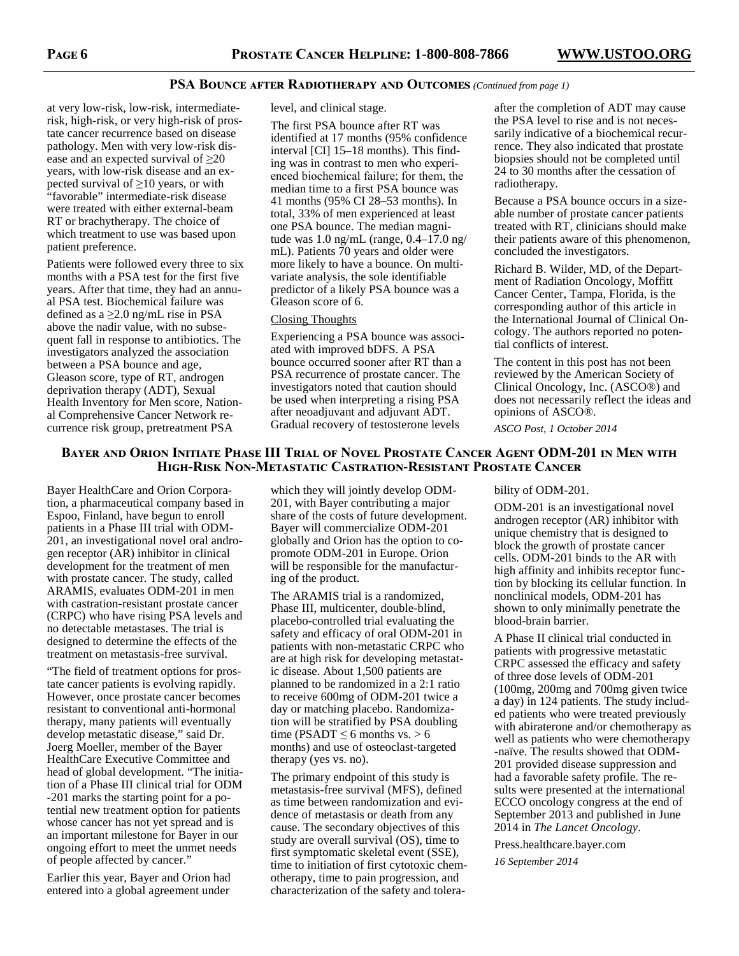# **PSA BOUNCE AFTER RADIOTHERAPY AND OUTCOMES** (Continued from page 1)

at very low-risk, low-risk, intermediaterisk, high-risk, or very high-risk of prostate cancer recurrence based on disease pathology. Men with very low-risk disease and an expected survival of  $\geq 20$ years, with low-risk disease and an expected survival of  $\geq 10$  years, or with "favorable" intermediate-risk disease were treated with either external-beam RT or brachytherapy. The choice of which treatment to use was based upon patient preference.

Patients were followed every three to six months with a PSA test for the first five years. After that time, they had an annual PSA test. Biochemical failure was defined as a  $\geq$ 2.0 ng/mL rise in PSA above the nadir value, with no subsequent fall in response to antibiotics. The investigators analyzed the association between a PSA bounce and age, Gleason score, type of RT, androgen deprivation therapy (ADT), Sexual Health Inventory for Men score, National Comprehensive Cancer Network recurrence risk group, pretreatment PSA

level, and clinical stage.

The first PSA bounce after RT was identified at 17 months (95% confidence interval [CI] 15–18 months). This finding was in contrast to men who experienced biochemical failure; for them, the median time to a first PSA bounce was 41 months (95% CI 28–53 months). In total, 33% of men experienced at least one PSA bounce. The median magnitude was 1.0 ng/mL (range, 0.4–17.0 ng/ mL). Patients 70 years and older were more likely to have a bounce. On multivariate analysis, the sole identifiable predictor of a likely PSA bounce was a Gleason score of 6.

#### Closing Thoughts

Experiencing a PSA bounce was associated with improved bDFS. A PSA bounce occurred sooner after RT than a PSA recurrence of prostate cancer. The investigators noted that caution should be used when interpreting a rising PSA after neoadjuvant and adjuvant ADT. Gradual recovery of testosterone levels

after the completion of ADT may cause the PSA level to rise and is not necessarily indicative of a biochemical recurrence. They also indicated that prostate biopsies should not be completed until 24 to 30 months after the cessation of radiotherapy.

Because a PSA bounce occurs in a sizeable number of prostate cancer patients treated with RT, clinicians should make their patients aware of this phenomenon, concluded the investigators.

Richard B. Wilder, MD, of the Department of Radiation Oncology, Moffitt Cancer Center, Tampa, Florida, is the corresponding author of this article in the International Journal of Clinical Oncology. The authors reported no potential conflicts of interest.

The content in this post has not been reviewed by the American Society of Clinical Oncology, Inc. (ASCO®) and does not necessarily reflect the ideas and opinions of ASCO®.

*ASCO Post, 1 October 2014* 

# BAYER AND ORION INITIATE PHASE III TRIAL OF NOVEL PROSTATE CANCER AGENT ODM-201 IN MEN WITH HIGH-RISK NON-METASTATIC CASTRATION-RESISTANT PROSTATE CANCER

Bayer HealthCare and Orion Corporation, a pharmaceutical company based in Espoo, Finland, have begun to enroll patients in a Phase III trial with ODM-201, an investigational novel oral androgen receptor (AR) inhibitor in clinical development for the treatment of men with prostate cancer. The study, called ARAMIS, evaluates ODM-201 in men with castration-resistant prostate cancer (CRPC) who have rising PSA levels and no detectable metastases. The trial is designed to determine the effects of the treatment on metastasis-free survival.

"The field of treatment options for prostate cancer patients is evolving rapidly. However, once prostate cancer becomes resistant to conventional anti-hormonal therapy, many patients will eventually develop metastatic disease," said Dr. Joerg Moeller, member of the Bayer HealthCare Executive Committee and head of global development. "The initiation of a Phase III clinical trial for ODM -201 marks the starting point for a potential new treatment option for patients whose cancer has not yet spread and is an important milestone for Bayer in our ongoing effort to meet the unmet needs of people affected by cancer."

Earlier this year, Bayer and Orion had entered into a global agreement under which they will jointly develop ODM-201, with Bayer contributing a major share of the costs of future development. Bayer will commercialize ODM-201 globally and Orion has the option to copromote ODM-201 in Europe. Orion will be responsible for the manufacturing of the product.

The ARAMIS trial is a randomized, Phase III, multicenter, double-blind, placebo-controlled trial evaluating the safety and efficacy of oral ODM-201 in patients with non-metastatic CRPC who are at high risk for developing metastatic disease. About 1,500 patients are planned to be randomized in a 2:1 ratio to receive 600mg of ODM-201 twice a day or matching placebo. Randomization will be stratified by PSA doubling time (PSADT  $\leq$  6 months vs. > 6 months) and use of osteoclast-targeted therapy (yes vs. no).

The primary endpoint of this study is metastasis-free survival (MFS), defined as time between randomization and evidence of metastasis or death from any cause. The secondary objectives of this study are overall survival (OS), time to first symptomatic skeletal event (SSE), time to initiation of first cytotoxic chemotherapy, time to pain progression, and characterization of the safety and tolerability of ODM-201.

ODM-201 is an investigational novel androgen receptor (AR) inhibitor with unique chemistry that is designed to block the growth of prostate cancer cells. ODM-201 binds to the AR with high affinity and inhibits receptor function by blocking its cellular function. In nonclinical models, ODM-201 has shown to only minimally penetrate the blood-brain barrier.

A Phase II clinical trial conducted in patients with progressive metastatic CRPC assessed the efficacy and safety of three dose levels of ODM-201 (100mg, 200mg and 700mg given twice a day) in 124 patients. The study included patients who were treated previously with abiraterone and/or chemotherapy as well as patients who were chemotherapy -naïve. The results showed that ODM-201 provided disease suppression and had a favorable safety profile. The results were presented at the international ECCO oncology congress at the end of September 2013 and published in June 2014 in *The Lancet Oncology*.

Press.healthcare.bayer.com

*16 September 2014*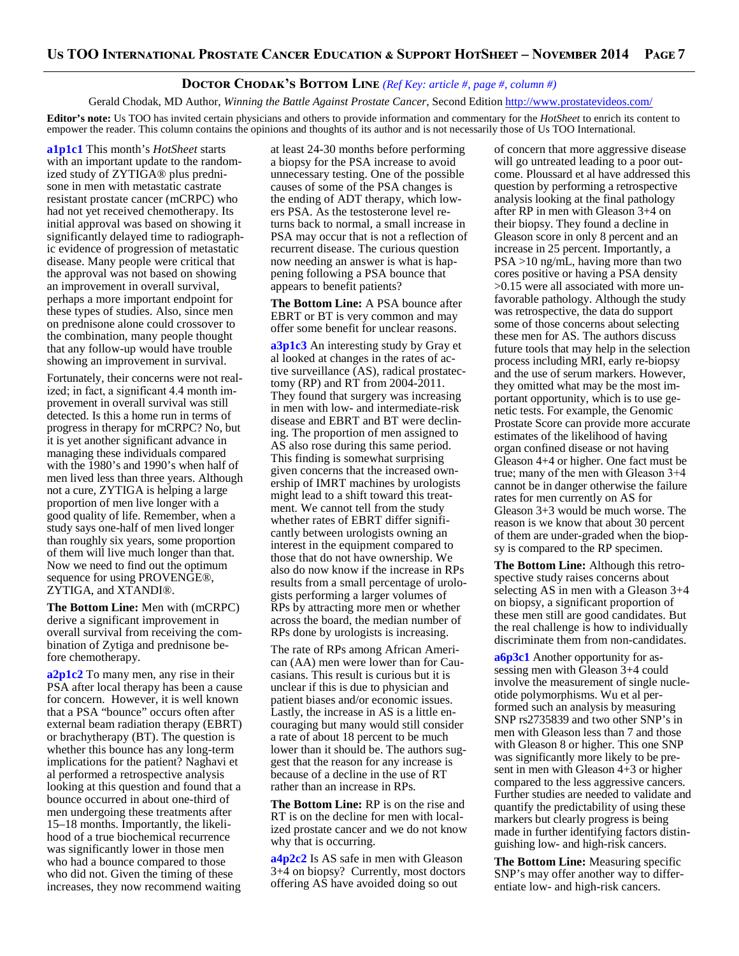# **DOCTOR CHODAK'S BOTTOM LINE** (Ref Key: article #, page #, column #)

Gerald Chodak, MD Author, *Winning the Battle Against Prostate Cancer*, Second Edition http://www.prostatevideos.com/

**Editor's note:** Us TOO has invited certain physicians and others to provide information and commentary for the *HotSheet* to enrich its content to empower the reader. This column contains the opinions and thoughts of its author and is not necessarily those of Us TOO International.

**a1p1c1** This month's *HotSheet* starts with an important update to the randomized study of ZYTIGA® plus prednisone in men with metastatic castrate resistant prostate cancer (mCRPC) who had not yet received chemotherapy. Its initial approval was based on showing it significantly delayed time to radiographic evidence of progression of metastatic disease. Many people were critical that the approval was not based on showing an improvement in overall survival, perhaps a more important endpoint for these types of studies. Also, since men on prednisone alone could crossover to the combination, many people thought that any follow-up would have trouble showing an improvement in survival.

Fortunately, their concerns were not realized; in fact, a significant 4.4 month improvement in overall survival was still detected. Is this a home run in terms of progress in therapy for mCRPC? No, but it is yet another significant advance in managing these individuals compared with the 1980's and 1990's when half of men lived less than three years. Although not a cure, ZYTIGA is helping a large proportion of men live longer with a good quality of life. Remember, when a study says one-half of men lived longer than roughly six years, some proportion of them will live much longer than that. Now we need to find out the optimum sequence for using PROVENGE®, ZYTIGA, and XTANDI®.

**The Bottom Line:** Men with (mCRPC) derive a significant improvement in overall survival from receiving the combination of Zytiga and prednisone before chemotherapy.

**a2p1c2** To many men, any rise in their PSA after local therapy has been a cause for concern. However, it is well known that a PSA "bounce" occurs often after external beam radiation therapy (EBRT) or brachytherapy (BT). The question is whether this bounce has any long-term implications for the patient? Naghavi et al performed a retrospective analysis looking at this question and found that a bounce occurred in about one-third of men undergoing these treatments after 15–18 months. Importantly, the likelihood of a true biochemical recurrence was significantly lower in those men who had a bounce compared to those who did not. Given the timing of these increases, they now recommend waiting

at least 24-30 months before performing a biopsy for the PSA increase to avoid unnecessary testing. One of the possible causes of some of the PSA changes is the ending of ADT therapy, which lowers PSA. As the testosterone level returns back to normal, a small increase in PSA may occur that is not a reflection of recurrent disease. The curious question now needing an answer is what is happening following a PSA bounce that appears to benefit patients?

**The Bottom Line:** A PSA bounce after EBRT or BT is very common and may offer some benefit for unclear reasons.

**a3p1c3** An interesting study by Gray et al looked at changes in the rates of active surveillance (AS), radical prostatectomy (RP) and RT from 2004-2011. They found that surgery was increasing in men with low- and intermediate-risk disease and EBRT and BT were declining. The proportion of men assigned to AS also rose during this same period. This finding is somewhat surprising given concerns that the increased ownership of IMRT machines by urologists might lead to a shift toward this treatment. We cannot tell from the study whether rates of EBRT differ significantly between urologists owning an interest in the equipment compared to those that do not have ownership. We also do now know if the increase in RPs results from a small percentage of urologists performing a larger volumes of RPs by attracting more men or whether across the board, the median number of RPs done by urologists is increasing.

The rate of RPs among African American (AA) men were lower than for Caucasians. This result is curious but it is unclear if this is due to physician and patient biases and/or economic issues. Lastly, the increase in AS is a little encouraging but many would still consider a rate of about 18 percent to be much lower than it should be. The authors suggest that the reason for any increase is because of a decline in the use of RT rather than an increase in RPs.

**The Bottom Line:** RP is on the rise and RT is on the decline for men with localized prostate cancer and we do not know why that is occurring.

**a4p2c2** Is AS safe in men with Gleason 3+4 on biopsy? Currently, most doctors offering AS have avoided doing so out

of concern that more aggressive disease will go untreated leading to a poor outcome. Ploussard et al have addressed this question by performing a retrospective analysis looking at the final pathology after RP in men with Gleason 3+4 on their biopsy. They found a decline in Gleason score in only 8 percent and an increase in 25 percent. Importantly, a PSA >10 ng/mL, having more than two cores positive or having a PSA density >0.15 were all associated with more unfavorable pathology. Although the study was retrospective, the data do support some of those concerns about selecting these men for AS. The authors discuss future tools that may help in the selection process including MRI, early re-biopsy and the use of serum markers. However, they omitted what may be the most important opportunity, which is to use genetic tests. For example, the Genomic Prostate Score can provide more accurate estimates of the likelihood of having organ confined disease or not having Gleason 4+4 or higher. One fact must be true; many of the men with Gleason 3+4 cannot be in danger otherwise the failure rates for men currently on AS for Gleason 3+3 would be much worse. The reason is we know that about 30 percent of them are under-graded when the biopsy is compared to the RP specimen.

**The Bottom Line:** Although this retrospective study raises concerns about selecting AS in men with a Gleason 3+4 on biopsy, a significant proportion of these men still are good candidates. But the real challenge is how to individually discriminate them from non-candidates.

**a6p3c1** Another opportunity for assessing men with Gleason 3+4 could involve the measurement of single nucleotide polymorphisms. Wu et al performed such an analysis by measuring SNP rs2735839 and two other SNP's in men with Gleason less than 7 and those with Gleason 8 or higher. This one SNP was significantly more likely to be present in men with Gleason 4+3 or higher compared to the less aggressive cancers. Further studies are needed to validate and quantify the predictability of using these markers but clearly progress is being made in further identifying factors distinguishing low- and high-risk cancers.

**The Bottom Line:** Measuring specific SNP's may offer another way to differentiate low- and high-risk cancers.